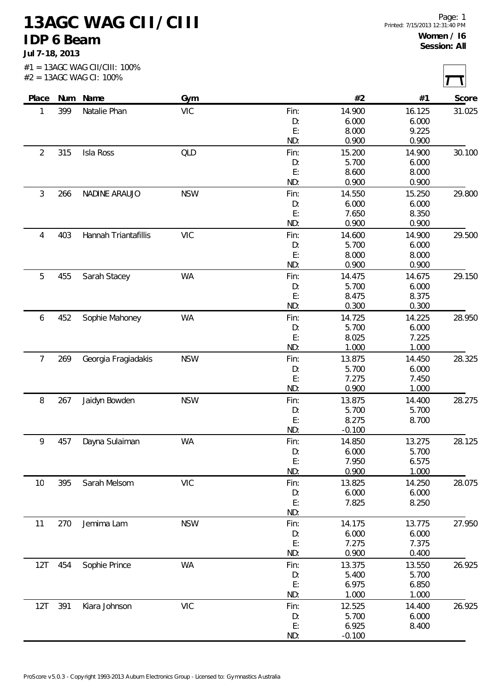**13AGC WAG CII/CIII IDP 6 Beam**

**Jul 7-18, 2013**

| Place          |     | Num Name             | Gym        |      | #2       | #1     | Score  |
|----------------|-----|----------------------|------------|------|----------|--------|--------|
| 1              | 399 | Natalie Phan         | <b>VIC</b> | Fin: | 14.900   | 16.125 | 31.025 |
|                |     |                      |            | D:   | 6.000    | 6.000  |        |
|                |     |                      |            | E:   | 8.000    | 9.225  |        |
|                |     |                      |            | ND:  | 0.900    | 0.900  |        |
| $\overline{2}$ | 315 | Isla Ross            | QLD        | Fin: | 15.200   | 14.900 | 30.100 |
|                |     |                      |            | D:   | 5.700    | 6.000  |        |
|                |     |                      |            | E:   | 8.600    | 8.000  |        |
|                |     |                      |            | ND:  | 0.900    | 0.900  |        |
| $\mathfrak{Z}$ | 266 | NADINE ARAUJO        | <b>NSW</b> | Fin: | 14.550   | 15.250 | 29.800 |
|                |     |                      |            | D:   | 6.000    | 6.000  |        |
|                |     |                      |            | E:   | 7.650    | 8.350  |        |
|                |     |                      |            | ND:  | 0.900    | 0.900  |        |
| $\overline{4}$ | 403 | Hannah Triantafillis | <b>VIC</b> | Fin: | 14.600   | 14.900 | 29.500 |
|                |     |                      |            | D:   | 5.700    | 6.000  |        |
|                |     |                      |            | E:   | 8.000    | 8.000  |        |
|                |     |                      |            | ND:  | 0.900    | 0.900  |        |
| 5              | 455 | Sarah Stacey         | <b>WA</b>  | Fin: | 14.475   | 14.675 | 29.150 |
|                |     |                      |            | D:   | 5.700    | 6.000  |        |
|                |     |                      |            | E:   | 8.475    | 8.375  |        |
|                |     |                      |            | ND:  | 0.300    | 0.300  |        |
| 6              | 452 | Sophie Mahoney       | WA         | Fin: | 14.725   | 14.225 | 28.950 |
|                |     |                      |            | D:   | 5.700    | 6.000  |        |
|                |     |                      |            | E:   | 8.025    | 7.225  |        |
|                |     |                      |            | ND:  | 1.000    | 1.000  |        |
| $\overline{7}$ | 269 | Georgia Fragiadakis  | <b>NSW</b> | Fin: | 13.875   | 14.450 | 28.325 |
|                |     |                      |            | D:   | 5.700    | 6.000  |        |
|                |     |                      |            | E:   | 7.275    | 7.450  |        |
|                |     |                      |            | ND:  | 0.900    | 1.000  |        |
| 8              | 267 | Jaidyn Bowden        | <b>NSW</b> | Fin: | 13.875   | 14.400 | 28.275 |
|                |     |                      |            | D:   | 5.700    | 5.700  |        |
|                |     |                      |            | E:   | 8.275    | 8.700  |        |
|                |     |                      |            | ND:  | $-0.100$ |        |        |
| 9              | 457 | Dayna Sulaiman       | <b>WA</b>  | Fin: | 14.850   | 13.275 | 28.125 |
|                |     |                      |            | D:   | 6.000    | 5.700  |        |
|                |     |                      |            | E:   | 7.950    | 6.575  |        |
|                |     |                      |            | ND:  | 0.900    | 1.000  |        |
| 10             | 395 | Sarah Melsom         | <b>VIC</b> | Fin: | 13.825   | 14.250 | 28.075 |
|                |     |                      |            | D:   | 6.000    | 6.000  |        |
|                |     |                      |            | E:   | 7.825    | 8.250  |        |
|                |     |                      |            | ND:  |          |        |        |
| 11             | 270 | Jemima Lam           | <b>NSW</b> | Fin: | 14.175   | 13.775 | 27.950 |
|                |     |                      |            | D:   | 6.000    | 6.000  |        |
|                |     |                      |            | E:   | 7.275    | 7.375  |        |
|                |     |                      |            | ND:  | 0.900    | 0.400  |        |
| 12T            | 454 | Sophie Prince        | <b>WA</b>  | Fin: | 13.375   | 13.550 | 26.925 |
|                |     |                      |            | D:   | 5.400    | 5.700  |        |
|                |     |                      |            | E:   | 6.975    | 6.850  |        |
|                |     |                      |            | ND:  | 1.000    | 1.000  |        |
| 12T            | 391 | Kiara Johnson        | <b>VIC</b> | Fin: | 12.525   | 14.400 | 26.925 |
|                |     |                      |            | D:   | 5.700    | 6.000  |        |
|                |     |                      |            | E:   | 6.925    | 8.400  |        |
|                |     |                      |            |      |          |        |        |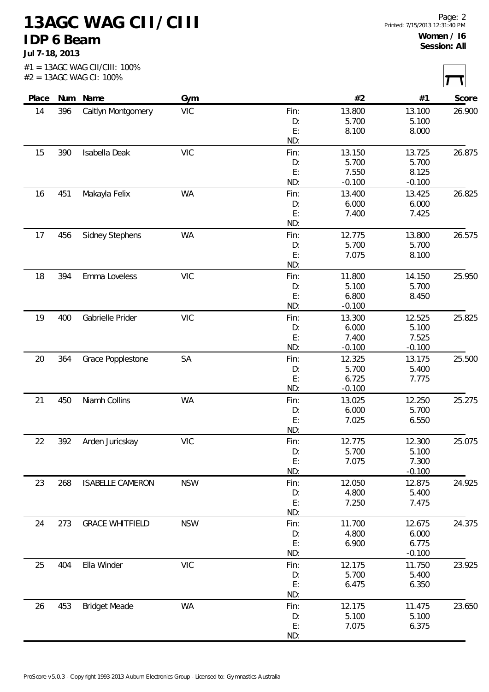**13AGC WAG CII/CIII IDP 6 Beam**

**Jul 7-18, 2013**

| Place |     | Num Name                | Gym        |            | #2              | #1              | Score  |
|-------|-----|-------------------------|------------|------------|-----------------|-----------------|--------|
| 14    | 396 | Caitlyn Montgomery      | <b>VIC</b> | Fin:       | 13.800          | 13.100          | 26.900 |
|       |     |                         |            | D:<br>E:   | 5.700           | 5.100           |        |
|       |     |                         |            | ND:        | 8.100           | 8.000           |        |
| 15    | 390 | Isabella Deak           | <b>VIC</b> | Fin:       | 13.150          | 13.725          | 26.875 |
|       |     |                         |            | D:         | 5.700           | 5.700           |        |
|       |     |                         |            | E:         | 7.550           | 8.125           |        |
|       |     |                         |            | ND:        | $-0.100$        | $-0.100$        |        |
| 16    | 451 | Makayla Felix           | WA         | Fin:       | 13.400          | 13.425          | 26.825 |
|       |     |                         |            | D:         | 6.000           | 6.000           |        |
|       |     |                         |            | E:         | 7.400           | 7.425           |        |
|       |     |                         |            | ND:        |                 |                 |        |
| 17    | 456 | <b>Sidney Stephens</b>  | <b>WA</b>  | Fin:       | 12.775          | 13.800          | 26.575 |
|       |     |                         |            | D:         | 5.700           | 5.700           |        |
|       |     |                         |            | E:         | 7.075           | 8.100           |        |
|       |     |                         |            | ND:        |                 |                 |        |
| 18    | 394 | Emma Loveless           | <b>VIC</b> | Fin:       | 11.800          | 14.150          | 25.950 |
|       |     |                         |            | D:         | 5.100           | 5.700           |        |
|       |     |                         |            | E:         | 6.800           | 8.450           |        |
|       |     |                         |            | ND:        | $-0.100$        |                 |        |
| 19    | 400 | Gabrielle Prider        | <b>VIC</b> | Fin:       | 13.300          | 12.525          | 25.825 |
|       |     |                         |            | D:         | 6.000           | 5.100           |        |
|       |     |                         |            | E:         | 7.400           | 7.525           |        |
|       |     |                         |            | ND:        | $-0.100$        | $-0.100$        |        |
| 20    | 364 | Grace Popplestone       | SA         | Fin:       | 12.325          | 13.175          | 25.500 |
|       |     |                         |            | D:         | 5.700           | 5.400           |        |
|       |     |                         |            | E:         | 6.725           | 7.775           |        |
|       |     |                         |            | ND:        | $-0.100$        |                 |        |
| 21    | 450 | Niamh Collins           | <b>WA</b>  | Fin:       | 13.025          | 12.250          | 25.275 |
|       |     |                         |            | D:         | 6.000           | 5.700           |        |
|       |     |                         |            | E:<br>ND:  | 7.025           | 6.550           |        |
|       |     |                         | <b>VIC</b> |            |                 |                 |        |
| 22    | 392 | Arden Juricskay         |            | Fin:<br>D: | 12.775<br>5.700 | 12.300<br>5.100 | 25.075 |
|       |     |                         |            | E:         | 7.075           | 7.300           |        |
|       |     |                         |            | ND:        |                 | $-0.100$        |        |
| 23    | 268 | <b>ISABELLE CAMERON</b> | <b>NSW</b> | Fin:       | 12.050          | 12.875          | 24.925 |
|       |     |                         |            | D:         | 4.800           | 5.400           |        |
|       |     |                         |            | E:         | 7.250           | 7.475           |        |
|       |     |                         |            | ND:        |                 |                 |        |
| 24    | 273 | <b>GRACE WHITFIELD</b>  | <b>NSW</b> | Fin:       | 11.700          | 12.675          | 24.375 |
|       |     |                         |            | D:         | 4.800           | 6.000           |        |
|       |     |                         |            | E:         | 6.900           | 6.775           |        |
|       |     |                         |            | ND:        |                 | $-0.100$        |        |
| 25    | 404 | Ella Winder             | <b>VIC</b> | Fin:       | 12.175          | 11.750          | 23.925 |
|       |     |                         |            | D:         | 5.700           | 5.400           |        |
|       |     |                         |            | E:         | 6.475           | 6.350           |        |
|       |     |                         |            | ND:        |                 |                 |        |
| 26    | 453 | <b>Bridget Meade</b>    | <b>WA</b>  | Fin:       | 12.175          | 11.475          | 23.650 |
|       |     |                         |            | D:         | 5.100           | 5.100           |        |
|       |     |                         |            | E:         | 7.075           | 6.375           |        |
|       |     |                         |            | ND:        |                 |                 |        |